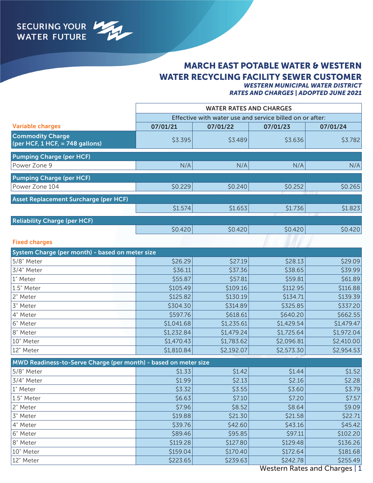

## MARCH EAST POTABLE WATER & WESTERN WATER RECYCLING FACILITY SEWER CUSTOMER *WESTERN MUNICIPAL WATER DISTRICT*

*RATES AND CHARGES | ADOPTED JUNE 2021*

|                                                            | <b>WATER RATES AND CHARGES</b><br>Effective with water use and service billed on or after: |          |          |          |
|------------------------------------------------------------|--------------------------------------------------------------------------------------------|----------|----------|----------|
|                                                            |                                                                                            |          |          |          |
| <b>Variable charges</b>                                    | 07/01/21                                                                                   | 07/01/22 | 07/01/23 | 07/01/24 |
| <b>Commodity Charge</b><br>(per HCF, 1 HCF, = 748 gallons) | \$3.395                                                                                    | \$3.489  | \$3.636  | \$3.782  |
| <b>Pumping Charge (per HCF)</b>                            |                                                                                            |          |          |          |
| Power Zone 9                                               | N/A                                                                                        | N/A      | N/A      | N/A      |
| <b>Pumping Charge (per HCF)</b>                            |                                                                                            |          |          |          |
| Power Zone 104                                             | \$0.229                                                                                    | \$0.240  | \$0.252  | \$0.265  |
| <b>Asset Replacement Surcharge (per HCF)</b>               |                                                                                            |          |          |          |
|                                                            | \$1.574                                                                                    | \$1.653  | \$1.736  | \$1.823  |
| <b>Reliability Charge (per HCF)</b>                        |                                                                                            |          |          |          |
|                                                            | \$0.420                                                                                    | \$0.420  | \$0.420  | \$0.420  |
| <b>Fixed charges</b>                                       |                                                                                            |          |          |          |

| System Charge (per month) - based on meter size |            |            |            |            |  |
|-------------------------------------------------|------------|------------|------------|------------|--|
| 5/8" Meter                                      | \$26.29    | \$27.19    | \$28.13    | \$29.09    |  |
| 3/4" Meter                                      | \$36.11    | \$37.36    | \$38.65    | \$39.99    |  |
| 1" Meter                                        | \$55.87    | \$57.81    | \$59.81    | \$61.89    |  |
| 1.5" Meter                                      | \$105.49   | \$109.16   | \$112.95   | \$116.88   |  |
| 2" Meter                                        | \$125.82   | \$130.19   | \$134.71   | \$139.39   |  |
| 3" Meter                                        | \$304.30   | \$314.89   | \$325.85   | \$337.20   |  |
| 4" Meter                                        | \$597.76   | \$618.61   | \$640.20   | \$662.55   |  |
| 6" Meter                                        | \$1,041.68 | \$1,235.61 | \$1,429.54 | \$1,479.47 |  |
| 8" Meter                                        | \$1,232.84 | \$1,479.24 | \$1,725.64 | \$1,972.04 |  |
| 10" Meter                                       | \$1,470.43 | \$1,783.62 | \$2,096.81 | \$2,410.00 |  |
| 12" Meter                                       | \$1,810.84 | \$2,192.07 | \$2,573.30 | \$2,954.53 |  |

| MWD Readiness-to-Serve Charge (per month) - based on meter size |          |          |          |          |  |
|-----------------------------------------------------------------|----------|----------|----------|----------|--|
| 5/8" Meter                                                      | \$1.33   | \$1.42   | \$1.44   | \$1.52   |  |
| 3/4" Meter                                                      | \$1.99   | \$2.13   | \$2.16   | \$2.28   |  |
| 1" Meter                                                        | \$3.32   | \$3.55   | \$3.60   | \$3.79   |  |
| 1.5" Meter                                                      | \$6.63   | \$7.10   | \$7.20   | \$7.57   |  |
| 2" Meter                                                        | \$7.96   | \$8.52   | \$8.64   | \$9.09   |  |
| 3" Meter                                                        | \$19.88  | \$21.30  | \$21.58  | \$22.71  |  |
| 4" Meter                                                        | \$39.76  | \$42.60  | \$43.16  | \$45.42  |  |
| 6" Meter                                                        | \$89.46  | \$95.85  | \$97.11  | \$102.20 |  |
| 8" Meter                                                        | \$119.28 | \$127.80 | \$129.48 | \$136.26 |  |
| 10" Meter                                                       | \$159.04 | \$170.40 | \$172.64 | \$181.68 |  |
| 12" Meter                                                       | \$223.65 | \$239.63 | \$242.78 | \$255.49 |  |

Western Rates and Charges | 1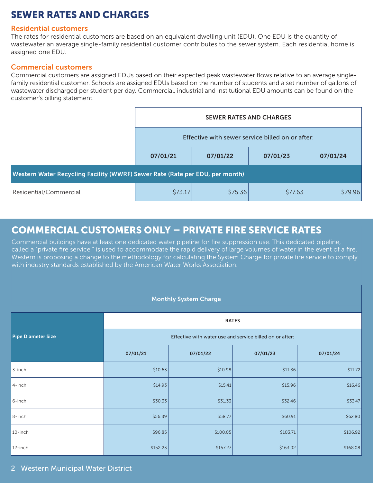# SEWER RATES AND CHARGES

### Residential customers

The rates for residential customers are based on an equivalent dwelling unit (EDU). One EDU is the quantity of wastewater an average single-family residential customer contributes to the sewer system. Each residential home is assigned one EDU.

## Commercial customers

Commercial customers are assigned EDUs based on their expected peak wastewater flows relative to an average singlefamily residential customer. Schools are assigned EDUs based on the number of students and a set number of gallons of wastewater discharged per student per day. Commercial, industrial and institutional EDU amounts can be found on the customer's billing statement.

|                                                                              | <b>SEWER RATES AND CHARGES</b>                   |                      |         |          |  |  |
|------------------------------------------------------------------------------|--------------------------------------------------|----------------------|---------|----------|--|--|
|                                                                              | Effective with sewer service billed on or after: |                      |         |          |  |  |
|                                                                              | 07/01/21                                         | 07/01/22<br>07/01/23 |         | 07/01/24 |  |  |
| Western Water Recycling Facility (WWRF) Sewer Rate (Rate per EDU, per month) |                                                  |                      |         |          |  |  |
| Residential/Commercial                                                       | \$73.17                                          | \$75.36              | \$77.63 | \$79.96  |  |  |

# COMMERCIAL CUSTOMERS ONLY – PRIVATE FIRE SERVICE RATES

Commercial buildings have at least one dedicated water pipeline for fire suppression use. This dedicated pipeline, called a "private fire service," is used to accommodate the rapid delivery of large volumes of water in the event of a fire. Western is proposing a change to the methodology for calculating the System Charge for private fire service to comply with industry standards established by the American Water Works Association.

### Monthly System Charge

|                           | <b>RATES</b>                                             |          |          |          |  |
|---------------------------|----------------------------------------------------------|----------|----------|----------|--|
| <b>Pipe Diameter Size</b> | Effective with water use and service billed on or after: |          |          |          |  |
|                           | 07/01/21                                                 | 07/01/22 | 07/01/23 | 07/01/24 |  |
| 3-inch                    | \$10.63                                                  | \$10.98  | \$11.36  | \$11.72  |  |
| 4-inch                    | \$14.93                                                  | \$15.41  | \$15.96  | \$16.46  |  |
| 6-inch                    | \$30.33                                                  | \$31.33  | \$32.46  | \$33.47  |  |
| $8$ -inch                 | \$56.89                                                  | \$58.77  | \$60.91  | \$62.80  |  |
| 10-inch                   | \$96.85                                                  | \$100.05 | \$103.71 | \$106.92 |  |
| 12-inch                   | \$152.23                                                 | \$157.27 | \$163.02 | \$168.08 |  |